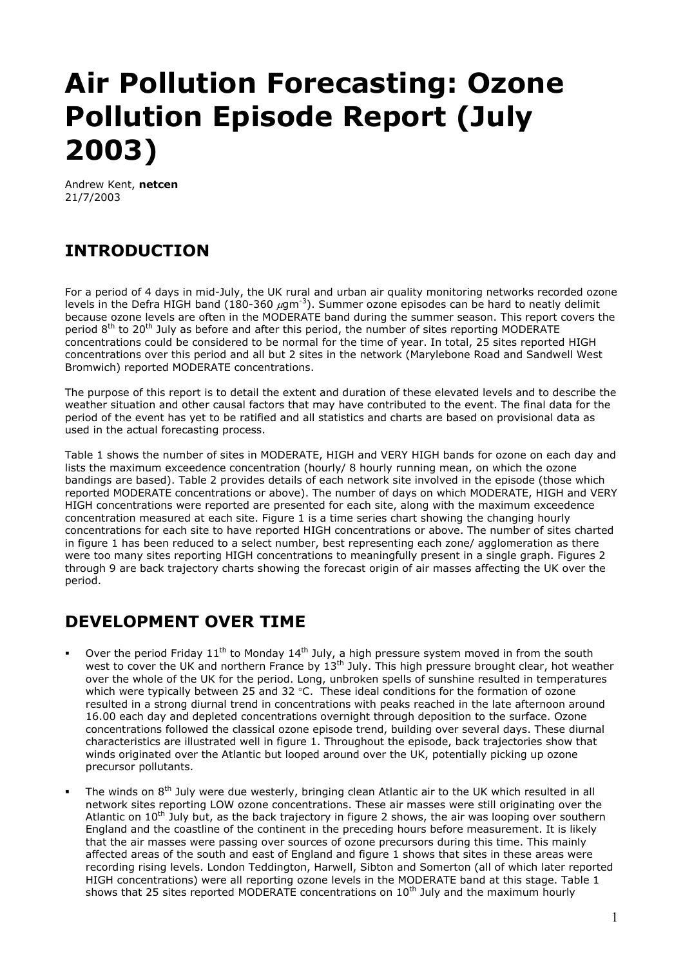# **Air Pollution Forecasting: Ozone Pollution Episode Report (July 2003)**

Andrew Kent, **netcen** 21/7/2003

## **INTRODUCTION**

For a period of 4 days in mid-July, the UK rural and urban air quality monitoring networks recorded ozone levels in the Defra HIGH band (180-360  $\mu$ gm<sup>-3</sup>). Summer ozone episodes can be hard to neatly delimit because ozone levels are often in the MODERATE band during the summer season. This report covers the period  $8<sup>th</sup>$  to 20<sup>th</sup> July as before and after this period, the number of sites reporting MODERATE concentrations could be considered to be normal for the time of year. In total, 25 sites reported HIGH concentrations over this period and all but 2 sites in the network (Marylebone Road and Sandwell West Bromwich) reported MODERATE concentrations.

The purpose of this report is to detail the extent and duration of these elevated levels and to describe the weather situation and other causal factors that may have contributed to the event. The final data for the period of the event has yet to be ratified and all statistics and charts are based on provisional data as used in the actual forecasting process.

Table 1 shows the number of sites in MODERATE, HIGH and VERY HIGH bands for ozone on each day and lists the maximum exceedence concentration (hourly/ 8 hourly running mean, on which the ozone bandings are based). Table 2 provides details of each network site involved in the episode (those which reported MODERATE concentrations or above). The number of days on which MODERATE, HIGH and VERY HIGH concentrations were reported are presented for each site, along with the maximum exceedence concentration measured at each site. Figure 1 is a time series chart showing the changing hourly concentrations for each site to have reported HIGH concentrations or above. The number of sites charted in figure 1 has been reduced to a select number, best representing each zone/ agglomeration as there were too many sites reporting HIGH concentrations to meaningfully present in a single graph. Figures 2 through 9 are back trajectory charts showing the forecast origin of air masses affecting the UK over the period.

#### **DEVELOPMENT OVER TIME**

- Over the period Friday  $11<sup>th</sup>$  to Monday  $14<sup>th</sup>$  July, a high pressure system moved in from the south west to cover the UK and northern France by 13<sup>th</sup> July. This high pressure brought clear, hot weather over the whole of the UK for the period. Long, unbroken spells of sunshine resulted in temperatures which were typically between 25 and 32 °C. These ideal conditions for the formation of ozone resulted in a strong diurnal trend in concentrations with peaks reached in the late afternoon around 16.00 each day and depleted concentrations overnight through deposition to the surface. Ozone concentrations followed the classical ozone episode trend, building over several days. These diurnal characteristics are illustrated well in figure 1. Throughout the episode, back trajectories show that winds originated over the Atlantic but looped around over the UK, potentially picking up ozone precursor pollutants.
- The winds on  $8<sup>th</sup>$  July were due westerly, bringing clean Atlantic air to the UK which resulted in all network sites reporting LOW ozone concentrations. These air masses were still originating over the Atlantic on 10<sup>th</sup> July but, as the back trajectory in figure 2 shows, the air was looping over southern England and the coastline of the continent in the preceding hours before measurement. It is likely that the air masses were passing over sources of ozone precursors during this time. This mainly affected areas of the south and east of England and figure 1 shows that sites in these areas were recording rising levels. London Teddington, Harwell, Sibton and Somerton (all of which later reported HIGH concentrations) were all reporting ozone levels in the MODERATE band at this stage. Table 1 shows that 25 sites reported MODERATE concentrations on  $10<sup>th</sup>$  July and the maximum hourly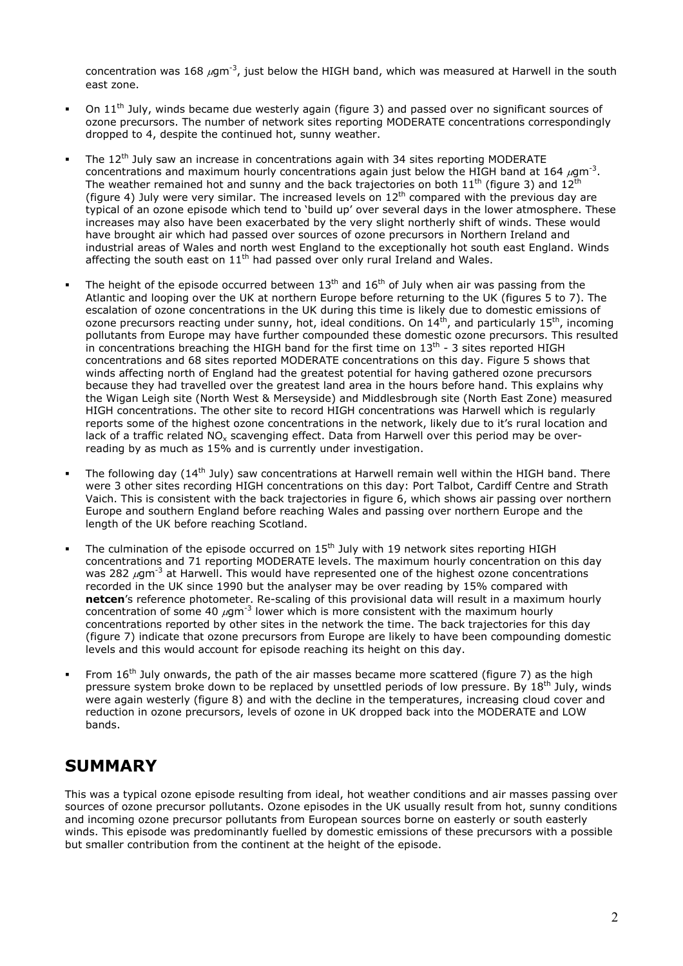concentration was 168  $\mu$ gm<sup>-3</sup>, just below the HIGH band, which was measured at Harwell in the south east zone.

- On  $11<sup>th</sup>$  July, winds became due westerly again (figure 3) and passed over no significant sources of ozone precursors. The number of network sites reporting MODERATE concentrations correspondingly dropped to 4, despite the continued hot, sunny weather.
- The 12<sup>th</sup> July saw an increase in concentrations again with 34 sites reporting MODERATE concentrations and maximum hourly concentrations again just below the HIGH band at 164  $\mu$ qm<sup>-3</sup>. The weather remained hot and sunny and the back trajectories on both  $11<sup>th</sup>$  (figure 3) and  $12<sup>th</sup>$ (figure 4) July were very similar. The increased levels on  $12<sup>th</sup>$  compared with the previous day are typical of an ozone episode which tend to 'build up' over several days in the lower atmosphere. These increases may also have been exacerbated by the very slight northerly shift of winds. These would have brought air which had passed over sources of ozone precursors in Northern Ireland and industrial areas of Wales and north west England to the exceptionally hot south east England. Winds affecting the south east on  $11<sup>th</sup>$  had passed over only rural Ireland and Wales.
- The height of the episode occurred between  $13<sup>th</sup>$  and  $16<sup>th</sup>$  of July when air was passing from the Atlantic and looping over the UK at northern Europe before returning to the UK (figures 5 to 7). The escalation of ozone concentrations in the UK during this time is likely due to domestic emissions of ozone precursors reacting under sunny, hot, ideal conditions. On  $14^{th}$ , and particularly  $15^{th}$ , incoming pollutants from Europe may have further compounded these domestic ozone precursors. This resulted in concentrations breaching the HIGH band for the first time on  $13<sup>th</sup>$  - 3 sites reported HIGH concentrations and 68 sites reported MODERATE concentrations on this day. Figure 5 shows that winds affecting north of England had the greatest potential for having gathered ozone precursors because they had travelled over the greatest land area in the hours before hand. This explains why the Wigan Leigh site (North West & Merseyside) and Middlesbrough site (North East Zone) measured HIGH concentrations. The other site to record HIGH concentrations was Harwell which is regularly reports some of the highest ozone concentrations in the network, likely due to it's rural location and lack of a traffic related NO<sub>y</sub> scavenging effect. Data from Harwell over this period may be overreading by as much as 15% and is currently under investigation.
- The following day (14<sup>th</sup> July) saw concentrations at Harwell remain well within the HIGH band. There were 3 other sites recording HIGH concentrations on this day: Port Talbot, Cardiff Centre and Strath Vaich. This is consistent with the back trajectories in figure 6, which shows air passing over northern Europe and southern England before reaching Wales and passing over northern Europe and the length of the UK before reaching Scotland.
- The culmination of the episode occurred on 15<sup>th</sup> July with 19 network sites reporting HIGH concentrations and 71 reporting MODERATE levels. The maximum hourly concentration on this day was 282  $\mu$ qm<sup>-3</sup> at Harwell. This would have represented one of the highest ozone concentrations recorded in the UK since 1990 but the analyser may be over reading by 15% compared with **netcen**'s reference photometer. Re-scaling of this provisional data will result in a maximum hourly concentration of some  $40 \mu$ am<sup>-3</sup> lower which is more consistent with the maximum hourly concentrations reported by other sites in the network the time. The back trajectories for this day (figure 7) indicate that ozone precursors from Europe are likely to have been compounding domestic levels and this would account for episode reaching its height on this day.
- From  $16<sup>th</sup>$  July onwards, the path of the air masses became more scattered (figure 7) as the high pressure system broke down to be replaced by unsettled periods of low pressure. By 18<sup>th</sup> July, winds were again westerly (figure 8) and with the decline in the temperatures, increasing cloud cover and reduction in ozone precursors, levels of ozone in UK dropped back into the MODERATE and LOW bands.

### **SUMMARY**

This was a typical ozone episode resulting from ideal, hot weather conditions and air masses passing over sources of ozone precursor pollutants. Ozone episodes in the UK usually result from hot, sunny conditions and incoming ozone precursor pollutants from European sources borne on easterly or south easterly winds. This episode was predominantly fuelled by domestic emissions of these precursors with a possible but smaller contribution from the continent at the height of the episode.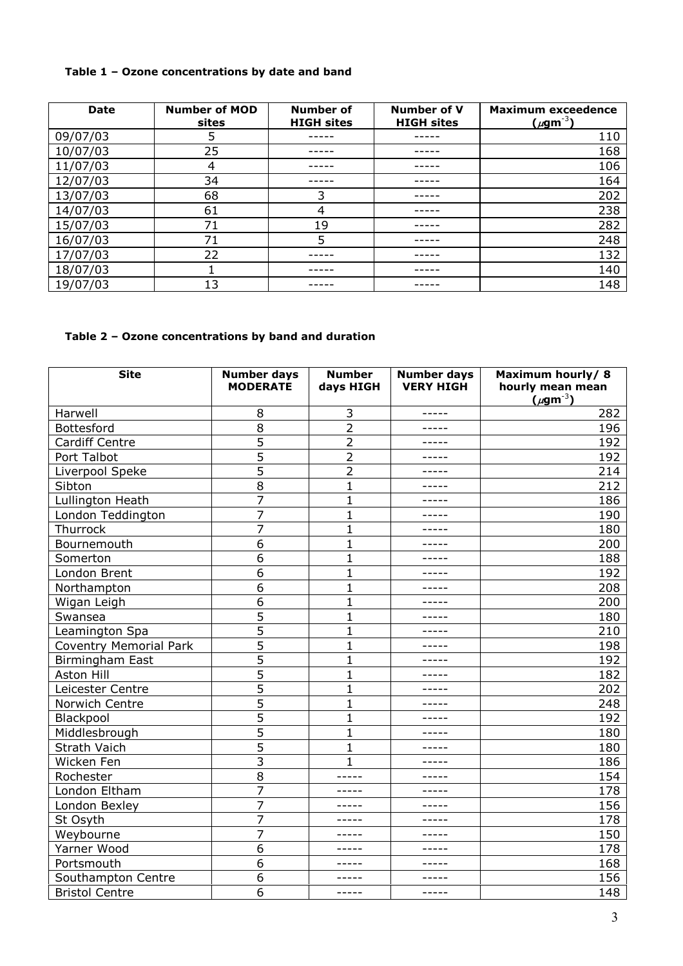#### **Table 1 – Ozone concentrations by date and band**

| <b>Date</b> | <b>Number of MOD</b><br>sites | Number of<br><b>HIGH sites</b> | Number of V<br><b>HIGH sites</b> | <b>Maximum exceedence</b><br>$(\mu$ gm <sup>-3</sup> ) |
|-------------|-------------------------------|--------------------------------|----------------------------------|--------------------------------------------------------|
| 09/07/03    | 5                             |                                |                                  | 110                                                    |
| 10/07/03    | 25                            |                                |                                  | 168                                                    |
| 11/07/03    | 4                             |                                |                                  | 106                                                    |
| 12/07/03    | 34                            |                                |                                  | 164                                                    |
| 13/07/03    | 68                            | 3                              |                                  | 202                                                    |
| 14/07/03    | 61                            | 4                              |                                  | 238                                                    |
| 15/07/03    | 71                            | 19                             |                                  | 282                                                    |
| 16/07/03    | 71                            | 5                              |                                  | 248                                                    |
| 17/07/03    | 22                            |                                |                                  | 132                                                    |
| 18/07/03    |                               |                                |                                  | 140                                                    |
| 19/07/03    | 13                            |                                |                                  | 148                                                    |

#### **Table 2 – Ozone concentrations by band and duration**

| <b>Site</b>            | <b>Number days</b><br><b>MODERATE</b> | <b>Number</b><br>days HIGH | <b>Number days</b><br><b>VERY HIGH</b> | Maximum hourly/8<br>hourly mean mean<br>$(\mu$ gm <sup>-3</sup> ) |
|------------------------|---------------------------------------|----------------------------|----------------------------------------|-------------------------------------------------------------------|
| Harwell                | 8                                     | 3                          | -----                                  | 282                                                               |
| Bottesford             | 8                                     | $\overline{2}$             | -----                                  | 196                                                               |
| <b>Cardiff Centre</b>  | 5                                     | $\overline{2}$             | -----                                  | 192                                                               |
| Port Talbot            | 5                                     | $\overline{2}$             | -----                                  | 192                                                               |
| Liverpool Speke        | 5                                     | $\overline{2}$             | -----                                  | 214                                                               |
| Sibton                 | 8                                     | $\mathbf{1}$               | -----                                  | 212                                                               |
| Lullington Heath       | 7                                     | $\mathbf{1}$               | -----                                  | 186                                                               |
| London Teddington      | $\overline{7}$                        | 1                          | -----                                  | 190                                                               |
| Thurrock               | 7                                     | 1                          | -----                                  | 180                                                               |
| Bournemouth            | 6                                     | 1                          | -----                                  | 200                                                               |
| Somerton               | 6                                     | $\mathbf{1}$               | -----                                  | 188                                                               |
| London Brent           | 6                                     | $\mathbf{1}$               | -----                                  | 192                                                               |
| Northampton            | 6                                     | $\mathbf{1}$               |                                        | 208                                                               |
| Wigan Leigh            | 6                                     | $\overline{1}$             | -----                                  | 200                                                               |
| Swansea                | 5                                     | 1                          | -----                                  | 180                                                               |
| Leamington Spa         | 5                                     | $\mathbf{1}$               | -----                                  | 210                                                               |
| Coventry Memorial Park | 5                                     | $\overline{1}$             | -----                                  | 198                                                               |
| Birmingham East        | 5                                     | 1                          | -----                                  | 192                                                               |
| Aston Hill             | 5                                     | $\mathbf{1}$               | -----                                  | 182                                                               |
| Leicester Centre       | 5                                     | $\mathbf{1}$               | -----                                  | 202                                                               |
| Norwich Centre         | 5                                     | $\mathbf{1}$               | -----                                  | 248                                                               |
| Blackpool              | 5                                     | $\mathbf{1}$               | -----                                  | 192                                                               |
| Middlesbrough          | $\overline{5}$                        | $\mathbf{1}$               | -----                                  | 180                                                               |
| Strath Vaich           | 5                                     | 1                          | -----                                  | 180                                                               |
| Wicken Fen             | 3                                     | 1                          | -----                                  | 186                                                               |
| Rochester              | 8                                     | -----                      | -----                                  | 154                                                               |
| London Eltham          | 7                                     | -----                      | $- - - - -$                            | 178                                                               |
| London Bexley          | 7                                     | -----                      | -----                                  | 156                                                               |
| St Osyth               | 7                                     | $- - - - -$                | -----                                  | 178                                                               |
| Weybourne              | 7                                     | -----                      | -----                                  | 150                                                               |
| Yarner Wood            | 6                                     | -----                      | -----                                  | 178                                                               |
| Portsmouth             | 6                                     |                            |                                        | 168                                                               |
| Southampton Centre     | 6                                     | -----                      | -----                                  | 156                                                               |
| <b>Bristol Centre</b>  | 6                                     | -----                      | -----                                  | 148                                                               |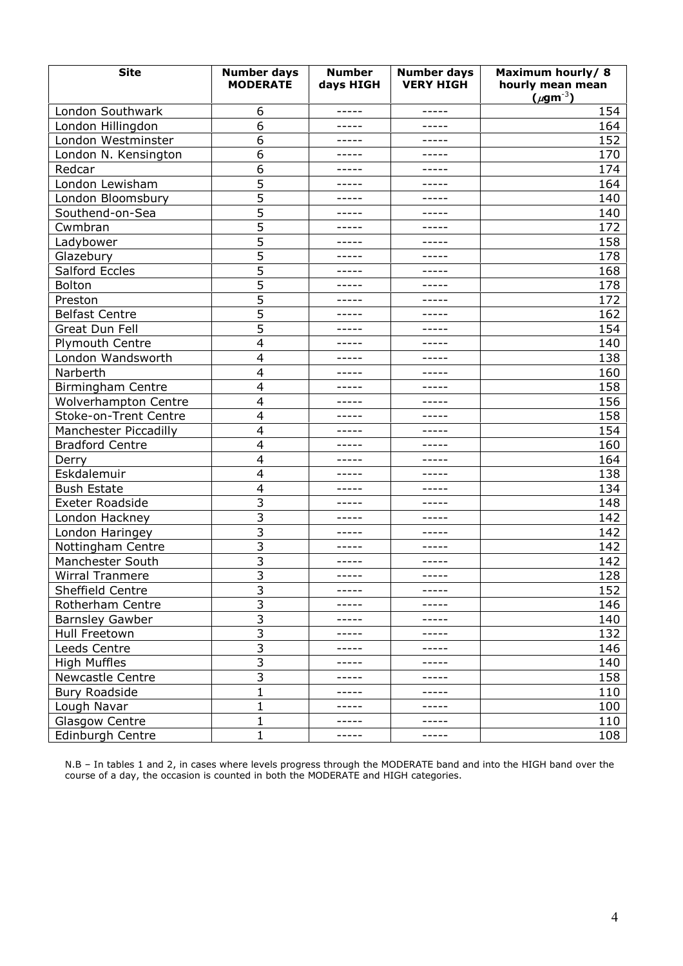| <b>Site</b>              | <b>Number days</b><br><b>MODERATE</b> | <b>Number</b><br>days HIGH | <b>Number days</b><br><b>VERY HIGH</b> | Maximum hourly/8<br>hourly mean mean<br>$(\mu$ gm <sup>-3</sup> ) |
|--------------------------|---------------------------------------|----------------------------|----------------------------------------|-------------------------------------------------------------------|
| London Southwark         | 6                                     | -----                      | -----                                  | 154                                                               |
| London Hillingdon        | 6                                     | -----                      | -----                                  | 164                                                               |
| London Westminster       | 6                                     | -----                      | -----                                  | 152                                                               |
| London N. Kensington     | 6                                     | -----                      | -----                                  | 170                                                               |
| Redcar                   | 6                                     | -----                      |                                        | 174                                                               |
| London Lewisham          | 5                                     | -----                      | -----                                  | 164                                                               |
| London Bloomsbury        | 5                                     | -----                      | -----                                  | 140                                                               |
| Southend-on-Sea          | 5                                     | -----                      | -----                                  | 140                                                               |
| Cwmbran                  | 5                                     | -----                      | -----                                  | 172                                                               |
| Ladybower                | 5                                     | -----                      | -----                                  | 158                                                               |
| Glazebury                | 5                                     | -----                      | -----                                  | 178                                                               |
| Salford Eccles           | 5                                     | -----                      | -----                                  | 168                                                               |
| Bolton                   | 5                                     | -----                      | -----                                  | 178                                                               |
| Preston                  | $\overline{5}$                        | -----                      | -----                                  | 172                                                               |
| <b>Belfast Centre</b>    | 5                                     | -----                      | -----                                  | 162                                                               |
| Great Dun Fell           | 5                                     | -----                      | -----                                  | 154                                                               |
| <b>Plymouth Centre</b>   | 4                                     | -----                      | -----                                  | 140                                                               |
| London Wandsworth        | 4                                     | -----                      | -----                                  | 138                                                               |
| Narberth                 | 4                                     |                            |                                        | 160                                                               |
| <b>Birmingham Centre</b> | $\overline{\mathbf{4}}$               | -----                      | -----                                  | 158                                                               |
| Wolverhampton Centre     | $\overline{4}$                        | -----                      | -----                                  | 156                                                               |
| Stoke-on-Trent Centre    | $\overline{4}$                        | -----                      | -----                                  | 158                                                               |
| Manchester Piccadilly    | 4                                     | -----                      | -----                                  | 154                                                               |
| <b>Bradford Centre</b>   | 4                                     | -----                      | -----                                  | 160                                                               |
| Derry                    | 4                                     | -----                      | -----                                  | 164                                                               |
| Eskdalemuir              | 4                                     | -----                      | -----                                  | 138                                                               |
| <b>Bush Estate</b>       | 4                                     | -----                      | -----                                  | 134                                                               |
| <b>Exeter Roadside</b>   | $\overline{3}$                        | -----                      | -----                                  | 148                                                               |
| London Hackney           | 3                                     | -----                      | -----                                  | 142                                                               |
| London Haringey          | 3                                     | -----                      | -----                                  | 142                                                               |
| Nottingham Centre        | 3                                     | -----                      | -----                                  | 142                                                               |
| Manchester South         | 3                                     | -----                      | $- - - - -$                            | 142                                                               |
| Wirral Tranmere          | 3                                     | -----                      | -----                                  | 128                                                               |
| Sheffield Centre         | 3                                     | -----                      | -----                                  | 152                                                               |
| Rotherham Centre         | 3                                     | -----                      | -----                                  | 146                                                               |
| <b>Barnsley Gawber</b>   | 3                                     | -----                      | -----                                  | 140                                                               |
| Hull Freetown            | 3                                     |                            |                                        | 132                                                               |
| Leeds Centre             | $\overline{3}$                        | -----                      | -----                                  | 146                                                               |
| <b>High Muffles</b>      | 3                                     | -----                      | -----                                  | 140                                                               |
| <b>Newcastle Centre</b>  | 3                                     | -----                      | -----                                  | 158                                                               |
| <b>Bury Roadside</b>     | 1                                     | -----                      | $- - - - -$                            | 110                                                               |
| Lough Navar              | 1                                     |                            |                                        | 100                                                               |
| <b>Glasgow Centre</b>    | 1                                     | -----                      | -----                                  | 110                                                               |
| Edinburgh Centre         | 1                                     | -----                      | -----                                  | 108                                                               |

N.B – In tables 1 and 2, in cases where levels progress through the MODERATE band and into the HIGH band over the course of a day, the occasion is counted in both the MODERATE and HIGH categories.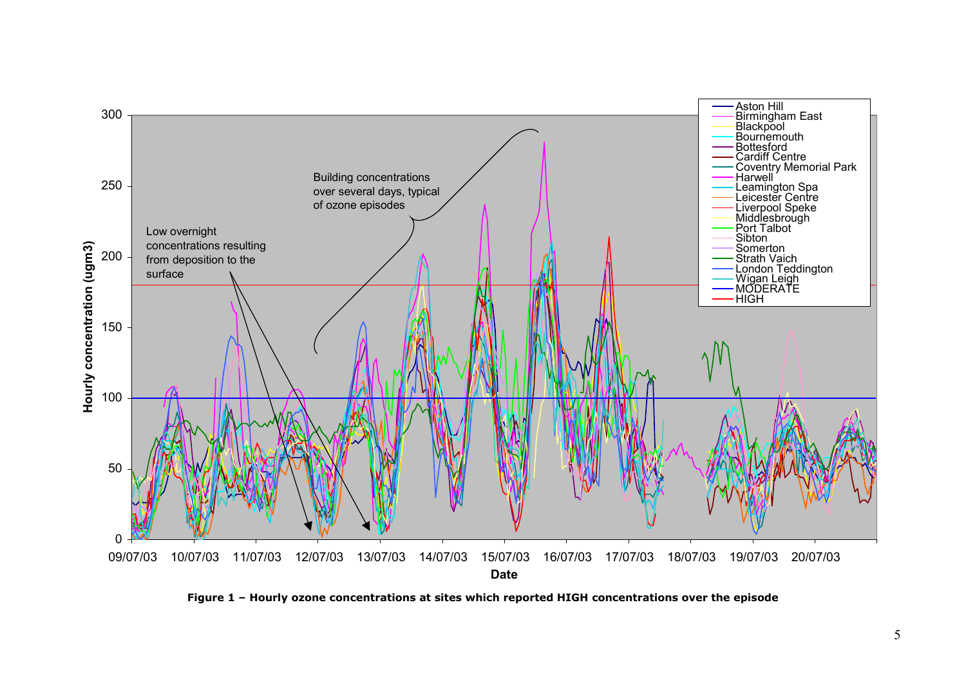

**Figure 1 – Hourly ozone concentrations at sites which reported HIGH concentrations over the episode**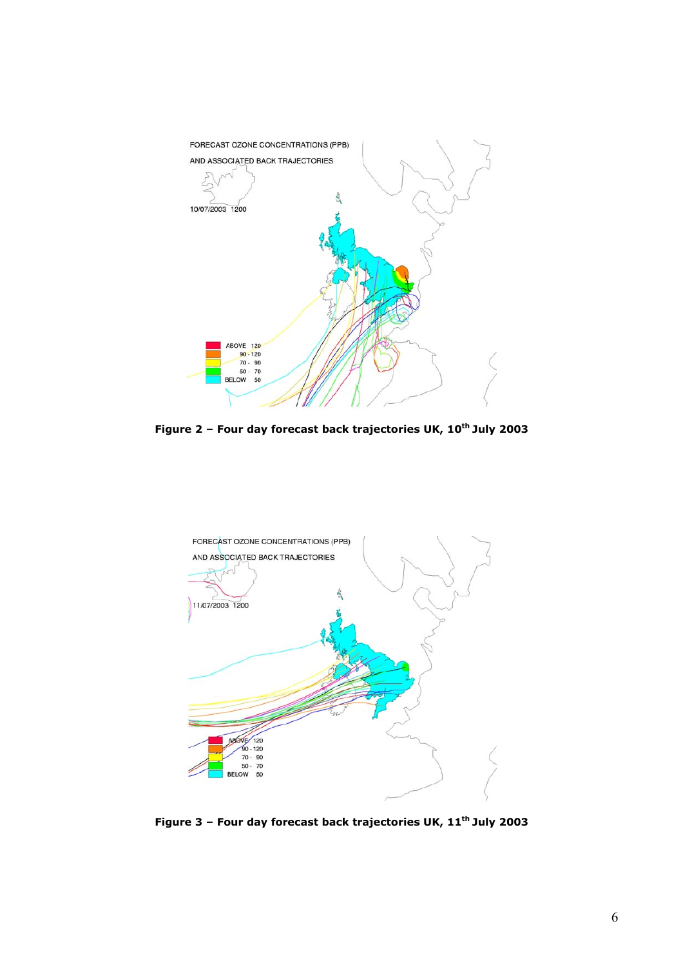

Figure 2 - Four day forecast back trajectories UK, 10<sup>th</sup> July 2003



Figure 3 - Four day forecast back trajectories UK, 11<sup>th</sup> July 2003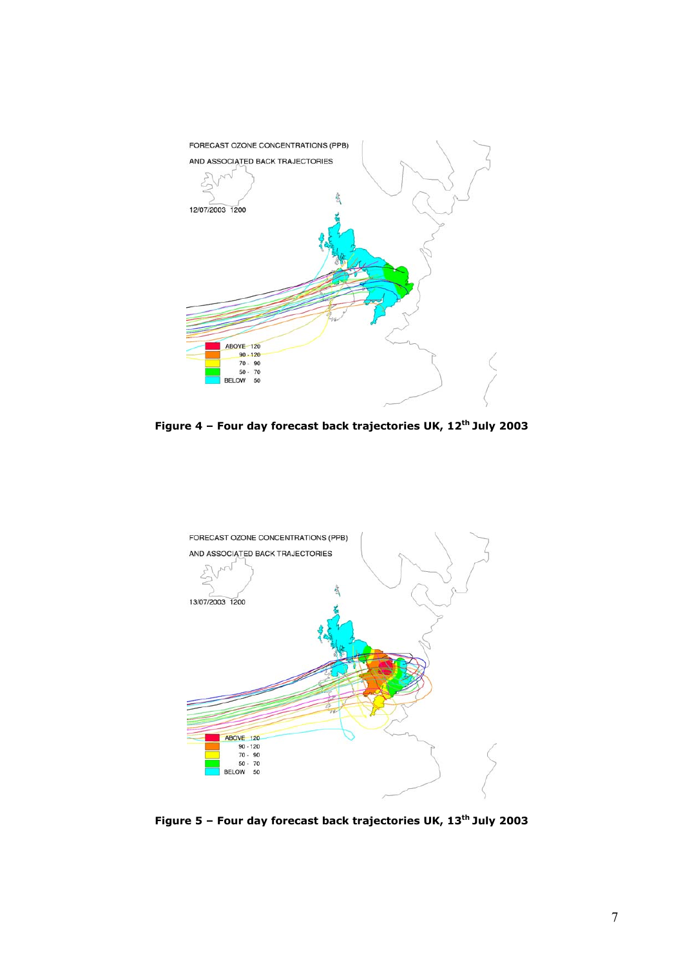

**Figure 4 – Four day forecast back trajectories UK, 12th July 2003**



**Figure 5 – Four day forecast back trajectories UK, 13th July 2003**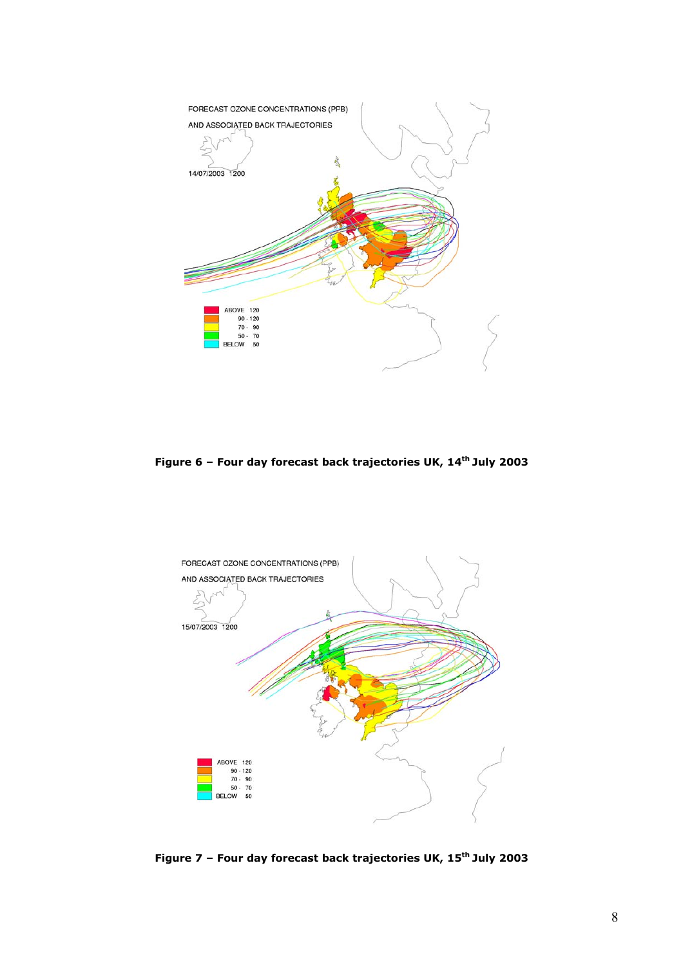

**Figure 6 – Four day forecast back trajectories UK, 14th July 2003**



**Figure 7 – Four day forecast back trajectories UK, 15th July 2003**